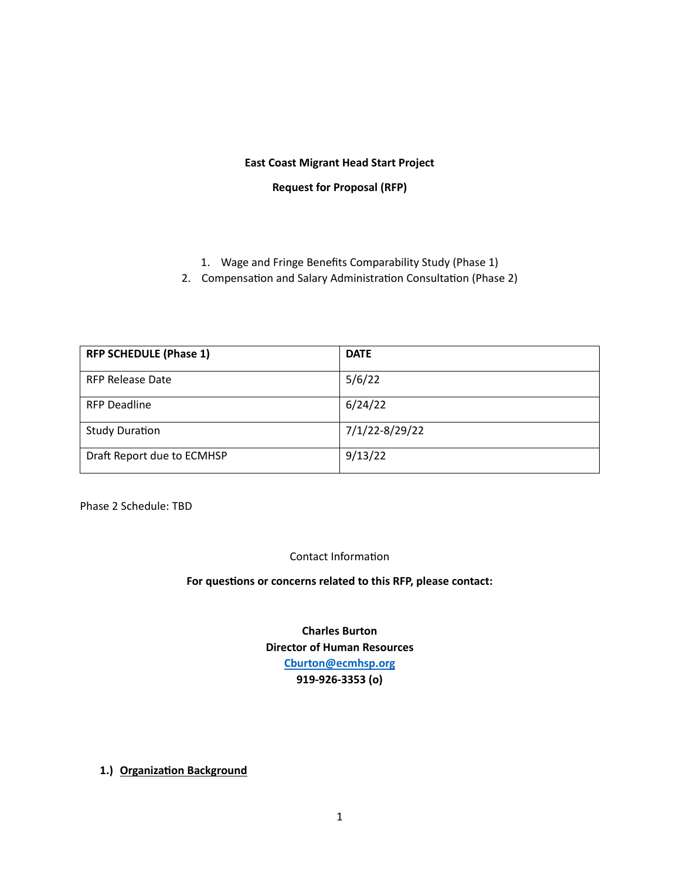## **East Coast Migrant Head Start Project**

**Request for Proposal (RFP)** 

- 1. Wage and Fringe Benefits Comparability Study (Phase 1)
- 2. Compensation and Salary Administration Consultation (Phase 2)

| <b>RFP SCHEDULE (Phase 1)</b> | <b>DATE</b>    |
|-------------------------------|----------------|
| <b>RFP Release Date</b>       | 5/6/22         |
| <b>RFP Deadline</b>           | 6/24/22        |
| <b>Study Duration</b>         | 7/1/22-8/29/22 |
| Draft Report due to ECMHSP    | 9/13/22        |

Phase 2 Schedule: TBD

Contact Information

For questions or concerns related to this RFP, please contact:

**Charles Burton Director of Human Resources [Cburton@ecmhsp.org](mailto:Cburton@ecmhsp.org) 919-926-3353 (o)**

**1.) Organization Background**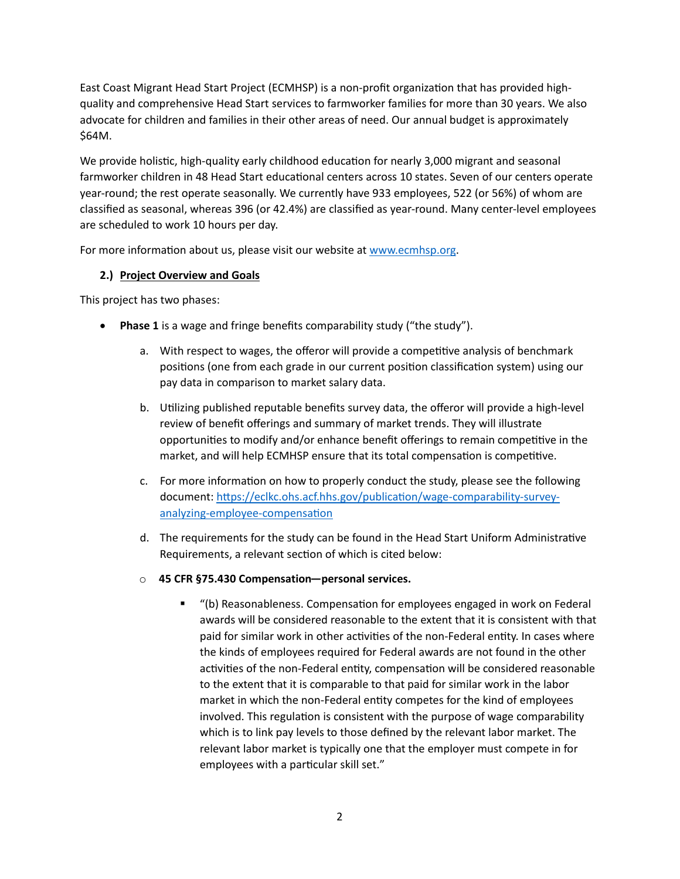East Coast Migrant Head Start Project (ECMHSP) is a non-profit organization that has provided highquality and comprehensive Head Start services to farmworker families for more than 30 years. We also advocate for children and families in their other areas of need. Our annual budget is approximately \$64M.

We provide holistic, high-quality early childhood education for nearly 3,000 migrant and seasonal farmworker children in 48 Head Start educational centers across 10 states. Seven of our centers operate year-round; the rest operate seasonally. We currently have 933 employees, 522 (or 56%) of whom are classified as seasonal, whereas 396 (or 42.4%) are classified as year-round. Many center-level employees are scheduled to work 10 hours per day.

For more information about us, please visit our website at [www.ecmhsp.org](http://www.ecmhsp.org/).

# **2.) Project Overview and Goals**

This project has two phases:

- **Phase 1** is a wage and fringe benefits comparability study ("the study").
	- a. With respect to wages, the offeror will provide a competitive analysis of benchmark positions (one from each grade in our current position classification system) using our pay data in comparison to market salary data.
	- b. Utilizing published reputable benefits survey data, the offeror will provide a high-level review of benefit offerings and summary of market trends. They will illustrate opportunities to modify and/or enhance benefit offerings to remain competitive in the market, and will help ECMHSP ensure that its total compensation is competitive.
	- c. For more information on how to properly conduct the study, please see the following document: https://eclkc.ohs.acf.hhs.gov/publication/wage-comparability-surveyanalyzing-employee-compensation
	- d. The requirements for the study can be found in the Head Start Uniform Administrative Requirements, a relevant section of which is cited below:
	- o **45 CFR §75.430 Compensation—personal services.**
		- "(b) Reasonableness. Compensa�on for employees engaged in work on Federal awards will be considered reasonable to the extent that it is consistent with that paid for similar work in other activities of the non-Federal entity. In cases where the kinds of employees required for Federal awards are not found in the other activities of the non-Federal entity, compensation will be considered reasonable to the extent that it is comparable to that paid for similar work in the labor market in which the non-Federal entity competes for the kind of employees involved. This regulation is consistent with the purpose of wage comparability which is to link pay levels to those defined by the relevant labor market. The relevant labor market is typically one that the employer must compete in for employees with a particular skill set."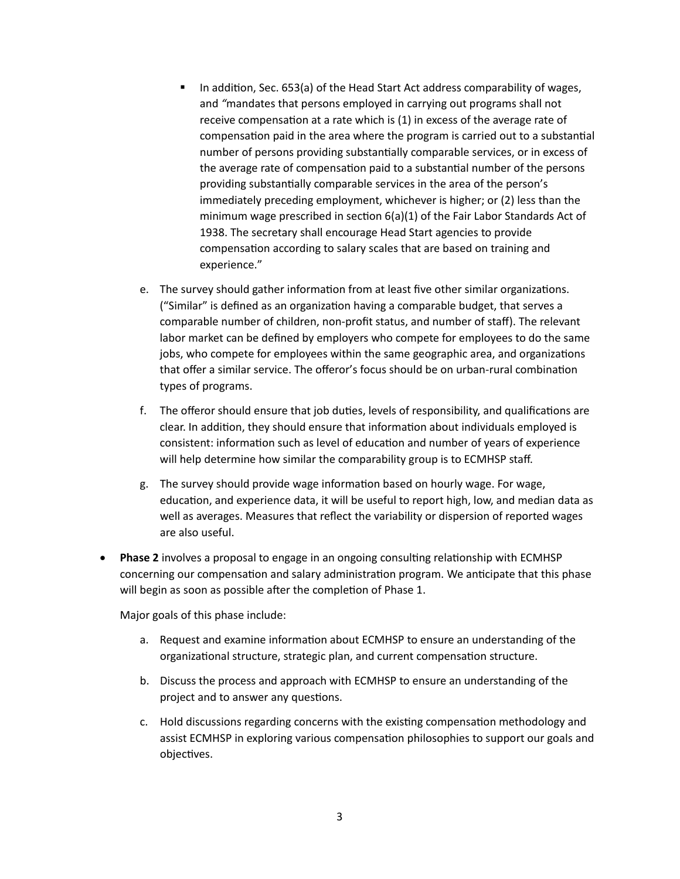- In addi�on, Sec. 653(a) of the Head Start Act address comparability of wages, and *"*mandates that persons employed in carrying out programs shall not receive compensation at a rate which is (1) in excess of the average rate of compensation paid in the area where the program is carried out to a substantial number of persons providing substantially comparable services, or in excess of the average rate of compensation paid to a substantial number of the persons providing substantially comparable services in the area of the person's immediately preceding employment, whichever is higher; or (2) less than the minimum wage prescribed in section  $6(a)(1)$  of the Fair Labor Standards Act of 1938. The secretary shall encourage Head Start agencies to provide compensation according to salary scales that are based on training and experience."
- e. The survey should gather information from at least five other similar organizations. ("Similar" is defined as an organization having a comparable budget, that serves a comparable number of children, non-profit status, and number of staff). The relevant labor market can be defined by employers who compete for employees to do the same jobs, who compete for employees within the same geographic area, and organizations that offer a similar service. The offeror's focus should be on urban-rural combination types of programs.
- f. The offeror should ensure that job duties, levels of responsibility, and qualifications are clear. In addition, they should ensure that information about individuals employed is consistent: information such as level of education and number of years of experience will help determine how similar the comparability group is to ECMHSP staff.
- g. The survey should provide wage information based on hourly wage. For wage, education, and experience data, it will be useful to report high, low, and median data as well as averages. Measures that reflect the variability or dispersion of reported wages are also useful.
- **Phase 2** involves a proposal to engage in an ongoing consulting relationship with ECMHSP concerning our compensation and salary administration program. We anticipate that this phase will begin as soon as possible after the completion of Phase 1.

Major goals of this phase include:

- a. Request and examine information about ECMHSP to ensure an understanding of the organizational structure, strategic plan, and current compensation structure.
- b. Discuss the process and approach with ECMHSP to ensure an understanding of the project and to answer any questions.
- c. Hold discussions regarding concerns with the existing compensation methodology and assist ECMHSP in exploring various compensation philosophies to support our goals and objectives.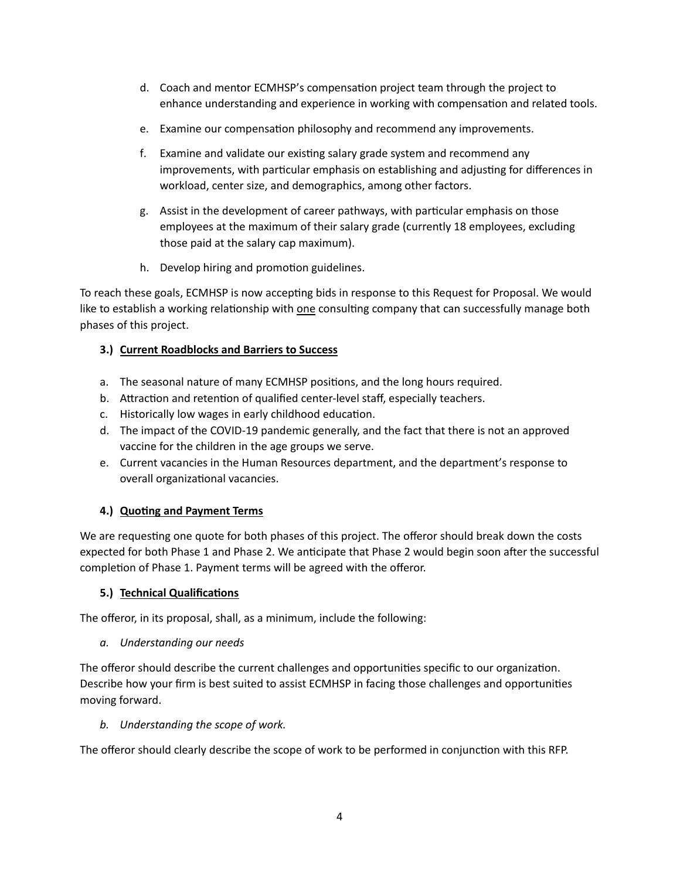- d. Coach and mentor ECMHSP's compensation project team through the project to enhance understanding and experience in working with compensation and related tools.
- e. Examine our compensation philosophy and recommend any improvements.
- f. Examine and validate our existing salary grade system and recommend any improvements, with particular emphasis on establishing and adjusting for differences in workload, center size, and demographics, among other factors.
- g. Assist in the development of career pathways, with par�cular emphasis on those employees at the maximum of their salary grade (currently 18 employees, excluding those paid at the salary cap maximum).
- h. Develop hiring and promotion guidelines.

To reach these goals, ECMHSP is now accepting bids in response to this Request for Proposal. We would like to establish a working relationship with one consulting company that can successfully manage both phases of this project.

## **3.) Current Roadblocks and Barriers to Success**

- a. The seasonal nature of many ECMHSP positions, and the long hours required.
- b. Attraction and retention of qualified center-level staff, especially teachers.
- c. Historically low wages in early childhood education.
- d. The impact of the COVID-19 pandemic generally, and the fact that there is not an approved vaccine for the children in the age groups we serve.
- e. Current vacancies in the Human Resources department, and the department's response to overall organizational vacancies.

# **4.) Quo�ng and Payment Terms**

We are requesting one quote for both phases of this project. The offeror should break down the costs expected for both Phase 1 and Phase 2. We anticipate that Phase 2 would begin soon after the successful completion of Phase 1. Payment terms will be agreed with the offeror.

### **5.) Technical Qualifications**

The offeror, in its proposal, shall, as a minimum, include the following:

### *a. Understanding our needs*

The offeror should describe the current challenges and opportunities specific to our organization. Describe how your firm is best suited to assist ECMHSP in facing those challenges and opportuni�es moving forward.

### *b. Understanding the scope of work.*

The offeror should clearly describe the scope of work to be performed in conjunction with this RFP.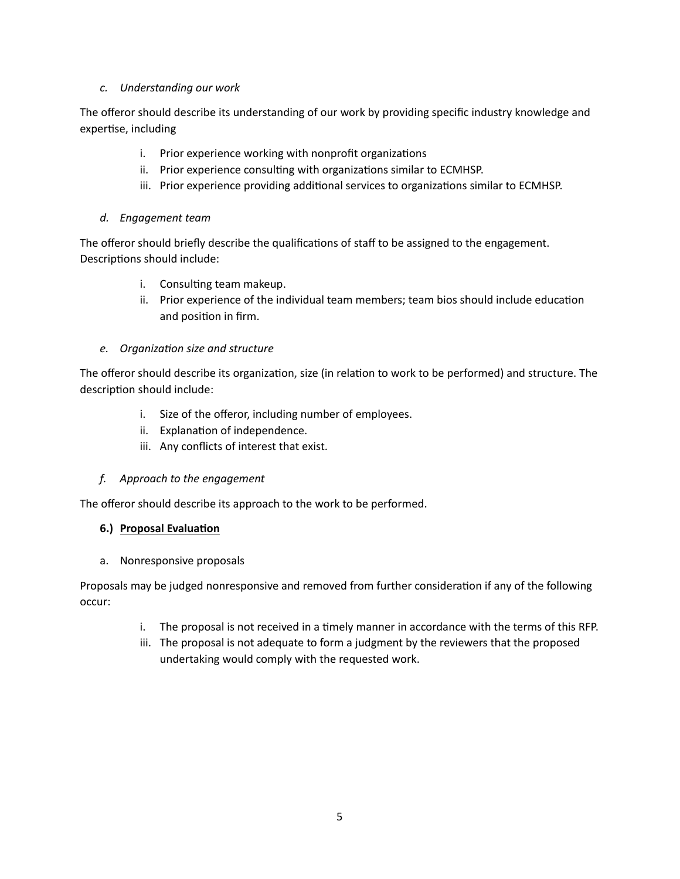## *c. Understanding our work*

The offeror should describe its understanding of our work by providing specific industry knowledge and expertise, including

- i. Prior experience working with nonprofit organizations
- ii. Prior experience consulting with organizations similar to ECMHSP.
- iii. Prior experience providing additional services to organizations similar to ECMHSP.

## *d. Engagement team*

The offeror should briefly describe the qualifications of staff to be assigned to the engagement. Descriptions should include:

- i. Consulting team makeup.
- ii. Prior experience of the individual team members; team bios should include education and position in firm.

### *e. Organization size and structure*

The offeror should describe its organization, size (in relation to work to be performed) and structure. The description should include:

- i. Size of the offeror, including number of employees.
- ii. Explanation of independence.
- iii. Any conflicts of interest that exist.

### *f. Approach to the engagement*

The offeror should describe its approach to the work to be performed.

### **6.)** Proposal Evaluation

a. Nonresponsive proposals

Proposals may be judged nonresponsive and removed from further consideration if any of the following occur:

- i. The proposal is not received in a timely manner in accordance with the terms of this RFP.
- iii. The proposal is not adequate to form a judgment by the reviewers that the proposed undertaking would comply with the requested work.